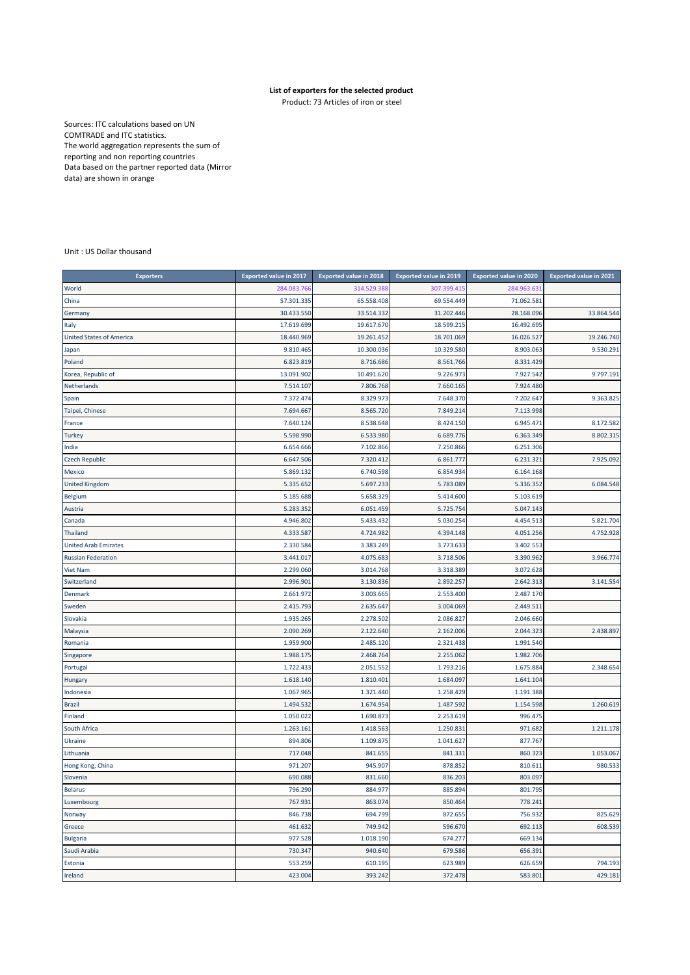## **List of exporters for the selected product**

Product: 73 Articles of iron or steel

Sources: ITC calculations based on UN COMTRADE and ITC statistics. The world aggregation represents the sum of reporting and non reporting countries Data based on the partner reported data (Mirror data) are shown in orange

Unit : US Dollar thousand

| <b>Exporters</b>                | <b>Exported value in 2017</b> | <b>Exported value in 2018</b> | <b>Exported value in 2019</b> | <b>Exported value in 2020</b> | <b>Exported value in 2021</b> |
|---------------------------------|-------------------------------|-------------------------------|-------------------------------|-------------------------------|-------------------------------|
| World                           | 284.083.766                   | 314.529.388                   | 307.399.415                   | 284.963.631                   |                               |
| China                           | 57.301.335                    | 65.558.408                    | 69.554.449                    | 71.062.581                    |                               |
| Germany                         | 30.433.550                    | 33.514.332                    | 31.202.446                    | 28.168.096                    | 33.864.544                    |
| Italy                           | 17.619.699                    | 19.617.670                    | 18.599.215                    | 16.492.695                    |                               |
| <b>United States of America</b> | 18.440.969                    | 19.261.452                    | 18.701.069                    | 16.026.527                    | 19.246.740                    |
| Japan                           | 9.810.465                     | 10.300.036                    | 10.329.580                    | 8.903.063                     | 9.530.291                     |
| Poland                          | 6.823.819                     | 8.716.686                     | 8.561.766                     | 8.331.429                     |                               |
| Korea, Republic of              | 13.091.902                    | 10.491.620                    | 9.226.973                     | 7.927.542                     | 9.797.191                     |
| Netherlands                     | 7.514.107                     | 7.806.768                     | 7.660.165                     | 7.924.480                     |                               |
| Spain                           | 7.372.474                     | 8.329.973                     | 7.648.370                     | 7.202.647                     | 9.363.825                     |
| Taipei, Chinese                 | 7.694.667                     | 8.565.720                     | 7.849.214                     | 7.113.998                     |                               |
| France                          | 7.640.124                     | 8.538.648                     | 8.424.150                     | 6.945.471                     | 8.172.582                     |
| Turkey                          | 5.598.990                     | 6.533.980                     | 6.689.776                     | 6.363.349                     | 8.802.315                     |
| India                           | 6.654.666                     | 7.102.866                     | 7.250.866                     | 6.251.306                     |                               |
| <b>Czech Republic</b>           | 6.647.506                     | 7.320.412                     | 6.861.777                     | 6.231.321                     | 7.925.092                     |
| Mexico                          | 5.869.132                     | 6.740.598                     | 6.854.934                     | 6.164.168                     |                               |
| <b>United Kingdom</b>           | 5.335.652                     | 5.697.233                     | 5.783.089                     | 5.336.352                     | 6.084.548                     |
| <b>Belgium</b>                  | 5.185.688                     | 5.658.329                     | 5.414.600                     | 5.103.619                     |                               |
| Austria                         | 5.283.352                     | 6.051.459                     | 5.725.754                     | 5.047.143                     |                               |
| Canada                          | 4.946.802                     | 5.433.432                     | 5.030.254                     | 4.454.513                     | 5.821.704                     |
| Thailand                        | 4.333.587                     | 4.724.982                     | 4.394.148                     | 4.051.256                     | 4.752.928                     |
| <b>United Arab Emirates</b>     | 2.330.584                     | 3.383.249                     | 3.773.633                     | 3.402.553                     |                               |
| <b>Russian Federation</b>       | 3.441.017                     | 4.075.683                     | 3.718.506                     | 3.390.962                     | 3.966.774                     |
| Viet Nam                        | 2.299.060                     | 3.014.768                     | 3.318.389                     | 3.072.628                     |                               |
| Switzerland                     | 2.996.901                     | 3.130.836                     | 2.892.257                     | 2.642.313                     | 3.141.554                     |
| Denmark                         | 2.661.972                     | 3.003.665                     | 2.553.400                     | 2.487.170                     |                               |
| Sweden                          | 2.415.793                     | 2.635.647                     | 3.004.069                     | 2.449.511                     |                               |
| Slovakia                        | 1.935.265                     | 2.278.502                     | 2.086.827                     | 2.046.660                     |                               |
| Malaysia                        | 2.090.269                     | 2.122.640                     | 2.162.006                     | 2.044.323                     | 2.438.897                     |
| Romania                         | 1.959.900                     | 2.485.120                     | 2.321.438                     | 1.991.540                     |                               |
| Singapore                       | 1.988.175                     | 2.468.764                     | 2.255.062                     | 1.982.706                     |                               |
| Portugal                        | 1.722.433                     | 2.051.552                     | 1.793.216                     | 1.675.884                     | 2.348.654                     |
| Hungary                         | 1.618.140                     | 1.810.401                     | 1.684.097                     | 1.641.104                     |                               |
| Indonesia                       | 1.067.965                     | 1.321.440                     | 1.258.429                     | 1.191.388                     |                               |
| <b>Brazil</b>                   | 1.494.532                     | 1.674.954                     | 1.487.592                     | 1.154.598                     | 1.260.619                     |
| Finland                         | 1.050.022                     | 1.690.873                     | 2.253.619                     | 996.475                       |                               |
| South Africa                    | 1.263.161                     | 1.418.563                     | 1.250.831                     | 971.682                       | 1.211.178                     |
| Ukraine                         | 894.806                       | 1.109.875                     | 1.041.627                     | 877.767                       |                               |
| Lithuania                       | 717.048                       | 841.655                       | 841.331                       | 860.323                       | 1.053.067                     |
| Hong Kong, China                | 971.207                       | 945.907                       | 878.852                       | 810.611                       | 980.533                       |
| Slovenia                        | 690.088                       | 831.660                       | 836.203                       | 803.097                       |                               |
| <b>Belarus</b>                  | 796.290                       | 884.977                       | 885.894                       | 801.795                       |                               |
| Luxembourg                      | 767.931                       | 863.074                       | 850.464                       | 778.241                       |                               |
| Norway                          | 846.738                       | 694.799                       | 872.655                       | 756.932                       | 825.629                       |
| Greece                          | 461.632                       | 749.942                       | 596.670                       | 692.113                       | 608.539                       |
| <b>Bulgaria</b>                 | 977.528                       | 1.018.190                     | 674.277                       | 669.134                       |                               |
| Saudi Arabia                    | 730.347                       | 940.640                       | 679.586                       | 656.391                       |                               |
| Estonia                         | 553.259                       | 610.195                       | 623.989                       | 626.659                       | 794.193                       |
| Ireland                         | 423.004                       | 393.242                       | 372.478                       | 583.801                       | 429.181                       |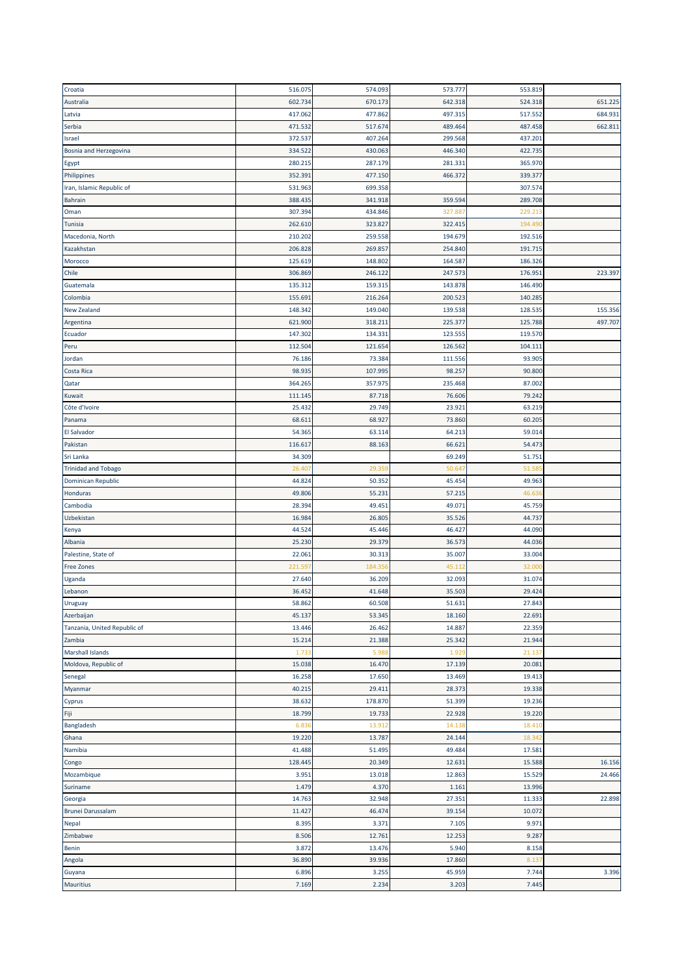| Croatia                      | 516.075 | 574.093        | 573.777 | 553.819 |         |
|------------------------------|---------|----------------|---------|---------|---------|
| Australia                    | 602.734 | 670.173        | 642.318 | 524.318 | 651.225 |
| Latvia                       | 417.062 | 477.862        | 497.315 | 517.552 | 684.931 |
| Serbia                       | 471.532 | 517.674        | 489.464 | 487.458 | 662.811 |
| Israel                       | 372.537 | 407.264        | 299.568 | 437.201 |         |
| Bosnia and Herzegovina       | 334.522 | 430.063        | 446.340 | 422.735 |         |
|                              | 280.215 | 287.179        | 281.331 | 365.970 |         |
| Egypt                        | 352.391 | 477.150        |         |         |         |
| Philippines                  |         |                | 466.372 | 339.377 |         |
| Iran, Islamic Republic of    | 531.963 | 699.358        |         | 307.574 |         |
| <b>Bahrain</b>               | 388.435 | 341.918        | 359.594 | 289.708 |         |
| Oman                         | 307.394 | 434.846        | 327.887 | 229.21  |         |
| <b>Tunisia</b>               | 262.610 | 323.827        | 322.415 | 194.49  |         |
| Macedonia, North             | 210.202 | 259.558        | 194.679 | 192.516 |         |
| Kazakhstan                   | 206.828 | 269.857        | 254.840 | 191.715 |         |
| Morocco                      | 125.619 | 148.802        | 164.587 | 186.326 |         |
| Chile                        | 306.869 | 246.122        | 247.573 | 176.951 | 223.397 |
| Guatemala                    | 135.312 | 159.315        | 143.878 | 146.490 |         |
| Colombia                     | 155.691 | 216.264        | 200.523 | 140.285 |         |
| New Zealand                  | 148.342 | 149.040        | 139.538 | 128.535 | 155.356 |
| Argentina                    | 621.900 | 318.211        | 225.377 | 125.788 | 497.707 |
| Ecuador                      | 147.302 | 134.331        | 123.555 | 119.570 |         |
| Peru                         | 112.504 | 121.654        | 126.562 | 104.111 |         |
| Jordan                       | 76.186  | 73.384         | 111.556 | 93.905  |         |
| Costa Rica                   | 98.935  | 107.995        | 98.257  | 90.800  |         |
| Qatar                        | 364.265 | 357.975        | 235.468 | 87.002  |         |
| Kuwait                       | 111.145 | 87.718         | 76.606  | 79.242  |         |
| Côte d'Ivoire                | 25.432  | 29.749         | 23.921  | 63.219  |         |
|                              | 68.611  | 68.927         | 73.860  | 60.205  |         |
| Panama                       | 54.365  |                | 64.213  | 59.014  |         |
| El Salvador                  |         | 63.114         |         |         |         |
| Pakistan                     | 116.617 | 88.163         | 66.621  | 54.473  |         |
| Sri Lanka                    | 34.309  |                | 69.249  | 51.751  |         |
| <b>Trinidad and Tobago</b>   | 26.40   | 29.35          | 50.647  | 51.58   |         |
| Dominican Republic           | 44.824  | 50.352         | 45.454  | 49.963  |         |
| Honduras                     | 49.806  | 55.231         | 57.215  | 46.63   |         |
| Cambodia                     | 28.394  | 49.451         | 49.071  | 45.759  |         |
| Uzbekistan                   | 16.984  | 26.805         | 35.526  | 44.737  |         |
| Kenya                        | 44.524  | 45.446         | 46.427  | 44.090  |         |
| Albania                      |         | 29.379         | 36.573  | 44.036  |         |
|                              | 25.230  |                |         |         |         |
| Palestine, State of          | 22.061  | 30.313         | 35.007  | 33.004  |         |
| <b>Free Zones</b>            | 221.59  | 184.35         | 45.112  | 32.000  |         |
| Uganda                       | 27.640  | 36.209         | 32.093  | 31.074  |         |
| Lebanon                      | 36.452  | 41.648         | 35.503  | 29.424  |         |
| <b>Uruguay</b>               | 58.862  | 60.508         | 51.631  | 27.843  |         |
| Azerbaijan                   | 45.137  | 53.345         | 18.160  | 22.691  |         |
| Tanzania, United Republic of | 13.446  | 26.462         | 14.887  | 22.359  |         |
| Zambia                       | 15.214  | 21.388         | 25.342  | 21.944  |         |
| <b>Marshall Islands</b>      | 1.733   | 5.988          | 1.929   | 21.137  |         |
|                              |         |                |         |         |         |
| Moldova, Republic of         | 15.038  | 16.470         | 17.139  | 20.081  |         |
| Senegal                      | 16.258  | 17.650         | 13.469  | 19.413  |         |
| Myanmar                      | 40.215  | 29.411         | 28.373  | 19.338  |         |
| Cyprus                       | 38.632  | 178.870        | 51.399  | 19.236  |         |
| Fiji                         | 18.799  | 19.733         | 22.928  | 19.220  |         |
| Bangladesh                   | 6.83    | 13.912         | 14.138  | 18.41   |         |
| Ghana                        | 19.220  | 13.787         | 24.144  | 18.342  |         |
| Namibia                      | 41.488  | 51.495         | 49.484  | 17.581  |         |
| Congo                        | 128.445 | 20.349         | 12.631  | 15.588  | 16.156  |
| Mozambique                   | 3.951   | 13.018         | 12.863  | 15.529  | 24.466  |
| Suriname                     | 1.479   | 4.370          | 1.161   | 13.996  |         |
| Georgia                      | 14.763  | 32.948         | 27.351  | 11.333  | 22.898  |
| <b>Brunei Darussalam</b>     | 11.427  | 46.474         | 39.154  | 10.072  |         |
| Nepal                        | 8.395   | 3.371          | 7.105   | 9.971   |         |
| Zimbabwe                     | 8.506   | 12.761         | 12.253  | 9.287   |         |
| Benin                        | 3.872   | 13.476         | 5.940   | 8.158   |         |
| Angola                       | 36.890  | 39.936         | 17.860  | 8.13    |         |
| Guyana                       | 6.896   | 3.255<br>2.234 | 45.959  | 7.744   | 3.396   |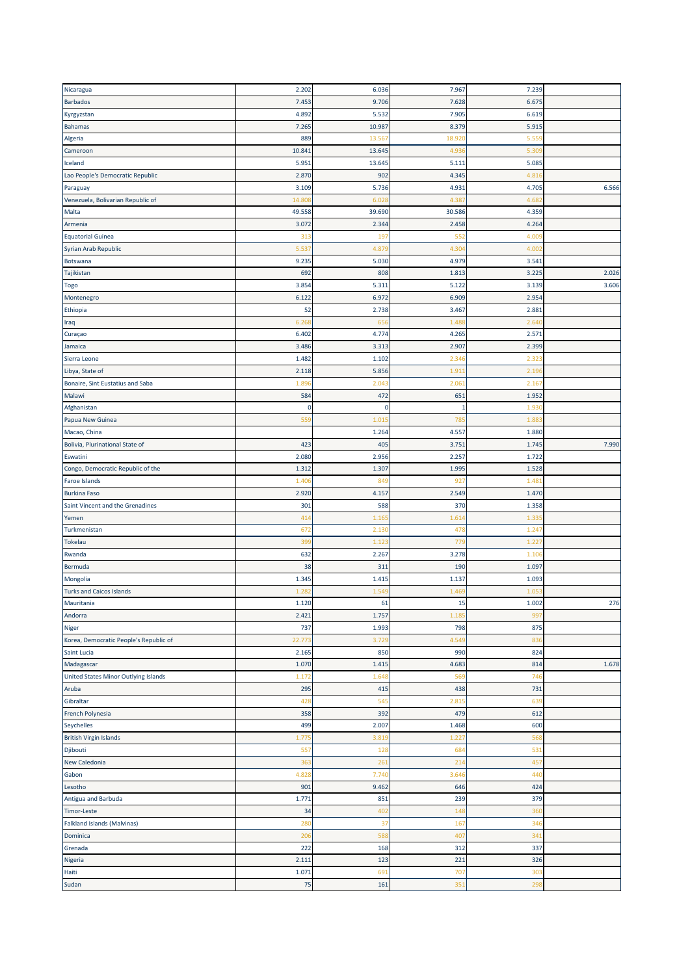| Nicaragua                                 | 2.202           | 6.036  | 7.967        | 7.239 |       |
|-------------------------------------------|-----------------|--------|--------------|-------|-------|
| <b>Barbados</b>                           | 7.453           | 9.706  | 7.628        | 6.675 |       |
| Kyrgyzstan                                | 4.892           | 5.532  | 7.905        | 6.619 |       |
| <b>Bahamas</b>                            | 7.265           | 10.987 | 8.379        | 5.915 |       |
| Algeria                                   | 889             | 13.56  | 18.920       | 5.55  |       |
| Cameroon                                  | 10.841          | 13.645 | 4.936        | 5.30  |       |
| Iceland                                   |                 |        |              |       |       |
|                                           | 5.951           | 13.645 | 5.111        | 5.08  |       |
| Lao People's Democratic Republic          | 2.870           | 902    | 4.345        | 4.81  |       |
| Paraguay                                  | 3.109           | 5.736  | 4.931        | 4.705 | 6.566 |
| Venezuela, Bolivarian Republic of         | 14.80           | 6.028  | 4.387        | 4.68  |       |
| Malta                                     | 49.558          | 39.690 | 30.586       | 4.359 |       |
| Armenia                                   | 3.072           | 2.344  | 2.458        | 4.264 |       |
| <b>Equatorial Guinea</b>                  | 313             | 197    | 552          | 4.00  |       |
| Syrian Arab Republic                      | 5.53            | 4.87   | 4.304        | 4.00  |       |
| Botswana                                  | 9.235           | 5.030  | 4.979        | 3.541 |       |
| Tajikistan                                | 692             | 808    | 1.813        | 3.225 | 2.026 |
| Togo                                      | 3.854           | 5.311  | 5.122        | 3.139 | 3.606 |
| Montenegro                                | 6.122           | 6.972  | 6.909        | 2.954 |       |
| Ethiopia                                  | 52              | 2.738  | 3.467        | 2.881 |       |
| Iraq                                      | 6.26            | 65     | 1.488        | 2.64  |       |
| Curaçao                                   | 6.402           | 4.774  | 4.265        | 2.571 |       |
| Jamaica                                   | 3.486           | 3.313  | 2.907        | 2.399 |       |
| Sierra Leone                              | 1.482           | 1.102  | 2.346        | 2.323 |       |
|                                           |                 |        |              |       |       |
| Libya, State of                           | 2.118           | 5.856  | 1.91         | 2.19  |       |
| Bonaire, Sint Eustatius and Saba          | 1.89            | 2.043  | 2.061        | 2.16  |       |
| Malawi                                    | 584             | 472    | 651          | 1.952 |       |
| Afghanistan                               | 0               | 0      | $\mathbf{1}$ | 1.93  |       |
| Papua New Guinea                          | 559             | 1.01   | 785          | 1.88  |       |
| Macao, China                              |                 | 1.264  | 4.557        | 1.880 |       |
| Bolivia, Plurinational State of           | 423             | 405    | 3.751        | 1.745 | 7.990 |
| Eswatini                                  | 2.080           | 2.956  | 2.257        | 1.722 |       |
| Congo, Democratic Republic of the         | 1.312           | 1.307  | 1.995        | 1.528 |       |
| <b>Faroe Islands</b>                      | 1.40            | 84     | 927          | 1.48  |       |
| <b>Burkina Faso</b>                       | 2.920           | 4.157  | 2.549        | 1.470 |       |
| Saint Vincent and the Grenadines          |                 |        |              |       |       |
|                                           | 301             | 588    | 370          | 1.358 |       |
|                                           | 41 <sub>4</sub> | 1.16   | 1.61         | 1.33  |       |
| Yemen                                     |                 |        | 478          |       |       |
| Turkmenistan                              | 672             | 2.130  |              | 1.24  |       |
| <b>Tokelau</b>                            | 399             | 1.123  | 779          | 1.22  |       |
| Rwanda                                    | 632             | 2.267  | 3.278        | 1.10  |       |
| Bermuda                                   | 38              | 311    | 190          | 1.097 |       |
| Mongolia                                  | 1.345           | 1.415  | 1.137        | 1.093 |       |
| <b>Turks and Caicos Islands</b>           | 1.28            | 1.549  | 1.469        | 1.05  |       |
| Mauritania                                | 1.120           | 61     | 15           | 1.002 | 276   |
| Andorra                                   | 2.421           | 1.757  | 1.185        | 99    |       |
| Niger                                     | 737             | 1.993  | 798          | 875   |       |
| Korea, Democratic People's Republic of    | 22.773          | 3.729  | 4.549        | 836   |       |
| Saint Lucia                               | 2.165           | 850    | 990          | 824   |       |
|                                           | 1.070           | 1.415  | 4.683        | 814   | 1.678 |
| United States Minor Outlying Islands      | 1.172           | 1.648  | 569          | 746   |       |
| Madagascar<br>Aruba                       | 295             | 415    | 438          | 731   |       |
| Gibraltar                                 | 428             | 545    | 2.815        | 639   |       |
| French Polynesia                          | 358             | 392    | 479          | 612   |       |
|                                           | 499             | 2.007  | 1.468        | 600   |       |
|                                           |                 |        |              |       |       |
| <b>British Virgin Islands</b>             | 1.77            | 3.81   | 1.227        | 568   |       |
| Djibouti                                  | 557             | 128    | 684          | 531   |       |
| New Caledonia                             | 363             | 261    | 214          | 45    |       |
|                                           | 4.828           | 7.740  | 3.646        | 440   |       |
| Lesotho                                   | 901             | 9.462  | 646          | 424   |       |
| Antigua and Barbuda                       | 1.771           | 851    | 239          | 379   |       |
| Seychelles<br>Gabon<br><b>Timor-Leste</b> | 34              | 402    | 148          | 360   |       |
| <b>Falkland Islands (Malvinas)</b>        | 280             | 37     | 167          | 346   |       |
| Dominica                                  | 206             | 588    | 407          | 341   |       |
| Grenada                                   | 222             | 168    | 312          | 337   |       |
| Nigeria                                   | 2.111           | 123    | 221          | 326   |       |
| Haiti<br>Sudan                            | 1.071           | 691    | 707          | 303   |       |